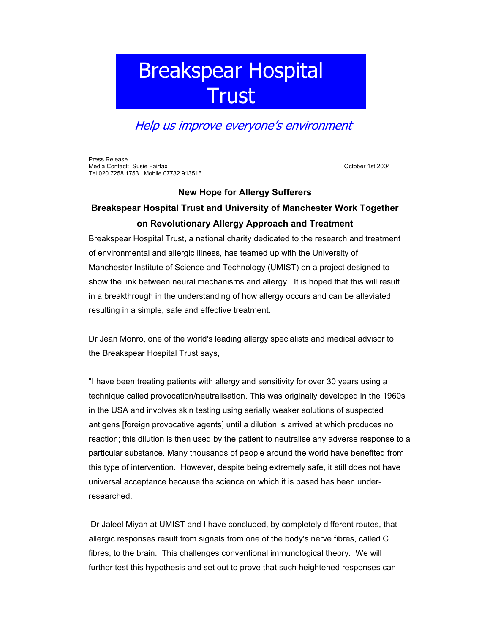## Breakspear Hospital **Trust**

## Help us improve everyone's environment

Press Release Media Contact: Susie Fairfax **October 1st 2004** October 1st 2004 Tel 020 7258 1753 Mobile 07732 913516

## **New Hope for Allergy Sufferers**

## **Breakspear Hospital Trust and University of Manchester Work Together on Revolutionary Allergy Approach and Treatment**

Breakspear Hospital Trust, a national charity dedicated to the research and treatment of environmental and allergic illness, has teamed up with the University of Manchester Institute of Science and Technology (UMIST) on a project designed to show the link between neural mechanisms and allergy. It is hoped that this will result in a breakthrough in the understanding of how allergy occurs and can be alleviated resulting in a simple, safe and effective treatment.

Dr Jean Monro, one of the world's leading allergy specialists and medical advisor to the Breakspear Hospital Trust says,

"I have been treating patients with allergy and sensitivity for over 30 years using a technique called provocation/neutralisation. This was originally developed in the 1960s in the USA and involves skin testing using serially weaker solutions of suspected antigens [foreign provocative agents] until a dilution is arrived at which produces no reaction; this dilution is then used by the patient to neutralise any adverse response to a particular substance. Many thousands of people around the world have benefited from this type of intervention. However, despite being extremely safe, it still does not have universal acceptance because the science on which it is based has been underresearched.

Dr Jaleel Miyan at UMIST and I have concluded, by completely different routes, that allergic responses result from signals from one of the body's nerve fibres, called C fibres, to the brain. This challenges conventional immunological theory. We will further test this hypothesis and set out to prove that such heightened responses can